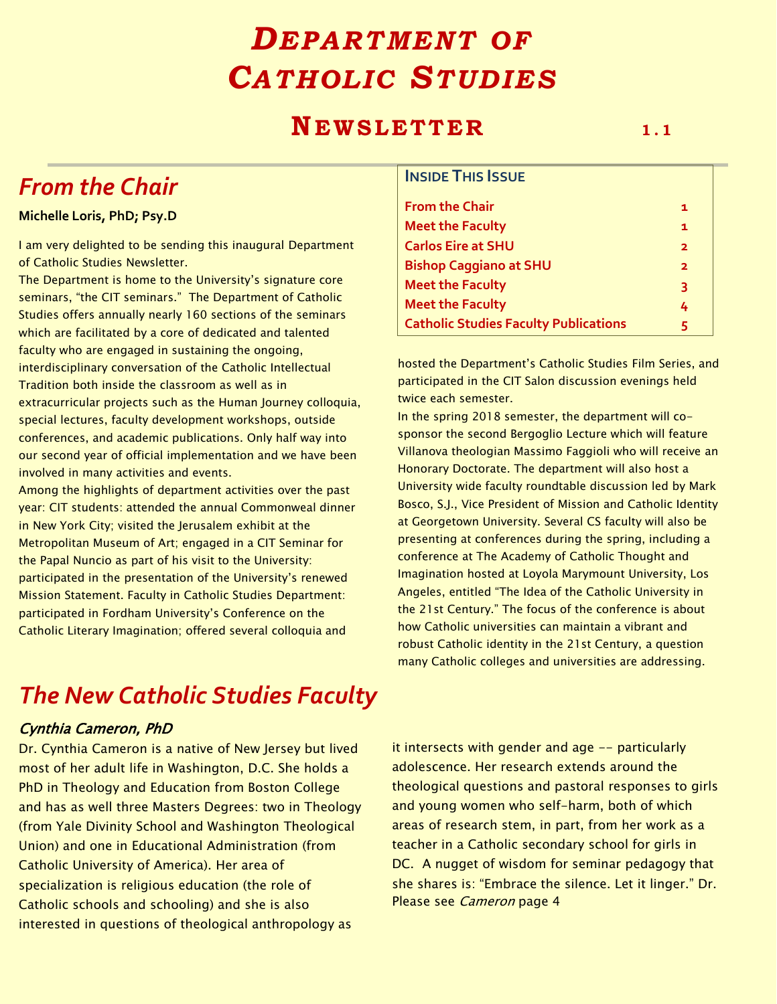# *DEPARTMENT OF CATHOL IC STUD IES*

## **NEWSLETTER** 1.1

**INSIDE THIS ISSUE**

## *From the Chair*

#### **Michelle Loris, PhD; Psy.D**

I am very delighted to be sending this inaugural Department of Catholic Studies Newsletter.

The Department is home to the University's signature core seminars, "the CIT seminars." The Department of Catholic Studies offers annually nearly 160 sections of the seminars which are facilitated by a core of dedicated and talented faculty who are engaged in sustaining the ongoing, interdisciplinary conversation of the Catholic Intellectual Tradition both inside the classroom as well as in extracurricular projects such as the Human Journey colloquia, special lectures, faculty development workshops, outside conferences, and academic publications. Only half way into our second year of official implementation and we have been involved in many activities and events.

Among the highlights of department activities over the past year: CIT students: attended the annual Commonweal dinner in New York City; visited the Jerusalem exhibit at the Metropolitan Museum of Art; engaged in a CIT Seminar for the Papal Nuncio as part of his visit to the University: participated in the presentation of the University's renewed Mission Statement. Faculty in Catholic Studies Department: participated in Fordham University's Conference on the Catholic Literary Imagination; offered several colloquia and

### **From the Chair 1 Meet the Faculty 1 Carlos Eire at SHU 2 Bishop Caggiano at SHU 2 Meet the Faculty 3 Meet the Faculty 4 Catholic Studies Faculty Publications 5**

hosted the Department's Catholic Studies Film Series, and participated in the CIT Salon discussion evenings held twice each semester.

In the spring 2018 semester, the department will cosponsor the second Bergoglio Lecture which will feature Villanova theologian Massimo Faggioli who will receive an Honorary Doctorate. The department will also host a University wide faculty roundtable discussion led by Mark Bosco, S.J., Vice President of Mission and Catholic Identity at Georgetown University. Several CS faculty will also be presenting at conferences during the spring, including a conference at The Academy of Catholic Thought and Imagination hosted at Loyola Marymount University, Los Angeles, entitled "The Idea of the Catholic University in the 21st Century." The focus of the conference is about how Catholic universities can maintain a vibrant and robust Catholic identity in the 21st Century, a question many Catholic colleges and universities are addressing.

## *The New Catholic Studies Faculty*

#### Cynthia Cameron, PhD

Dr. Cynthia Cameron is a native of New Jersey but lived most of her adult life in Washington, D.C. She holds a PhD in Theology and Education from Boston College and has as well three Masters Degrees: two in Theology (from Yale Divinity School and Washington Theological Union) and one in Educational Administration (from Catholic University of America). Her area of specialization is religious education (the role of Catholic schools and schooling) and she is also interested in questions of theological anthropology as

it intersects with gender and age -- particularly adolescence. Her research extends around the theological questions and pastoral responses to girls and young women who self-harm, both of which areas of research stem, in part, from her work as a teacher in a Catholic secondary school for girls in DC. A nugget of wisdom for seminar pedagogy that she shares is: "Embrace the silence. Let it linger." Dr. Please see Cameron page 4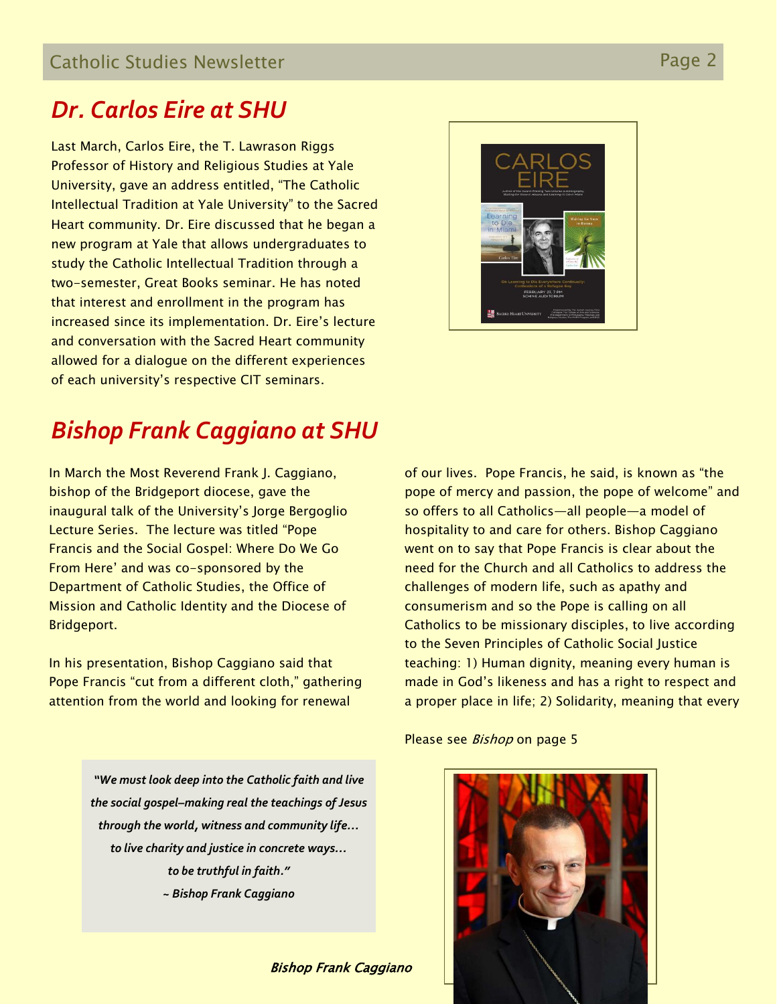## *Dr. Carlos Eire at SHU*

Last March, Carlos Eire, the T. Lawrason Riggs Professor of History and Religious Studies at Yale University, gave an address entitled, "The Catholic Intellectual Tradition at Yale University" to the Sacred Heart community. Dr. Eire discussed that he began a new program at Yale that allows undergraduates to study the Catholic Intellectual Tradition through a two-semester, Great Books seminar. He has noted that interest and enrollment in the program has increased since its implementation. Dr. Eire's lecture and conversation with the Sacred Heart community allowed for a dialogue on the different experiences of each university's respective CIT seminars.



## *Bishop Frank Caggiano at SHU*

In March the Most Reverend Frank J. Caggiano, bishop of the Bridgeport diocese, gave the inaugural talk of the University's Jorge Bergoglio Lecture Series. The lecture was titled "Pope Francis and the Social Gospel: Where Do We Go From Here' and was co-sponsored by the Department of Catholic Studies, the Office of Mission and Catholic Identity and the Diocese of Bridgeport.

In his presentation, Bishop Caggiano said that Pope Francis "cut from a different cloth," gathering attention from the world and looking for renewal

> *"We must look deep into the Catholic faith and live the social gospel–making real the teachings of Jesus through the world, witness and community life… to live charity and justice in concrete ways… to be truthful in faith." ~ Bishop Frank Caggiano*

> > Bishop Frank Caggiano

of our lives. Pope Francis, he said, is known as "the pope of mercy and passion, the pope of welcome" and so offers to all Catholics—all people—a model of hospitality to and care for others. Bishop Caggiano went on to say that Pope Francis is clear about the need for the Church and all Catholics to address the challenges of modern life, such as apathy and consumerism and so the Pope is calling on all Catholics to be missionary disciples, to live according to the Seven Principles of Catholic Social Justice teaching: 1) Human dignity, meaning every human is made in God's likeness and has a right to respect and a proper place in life; 2) Solidarity, meaning that every

Please see Bishop on page 5

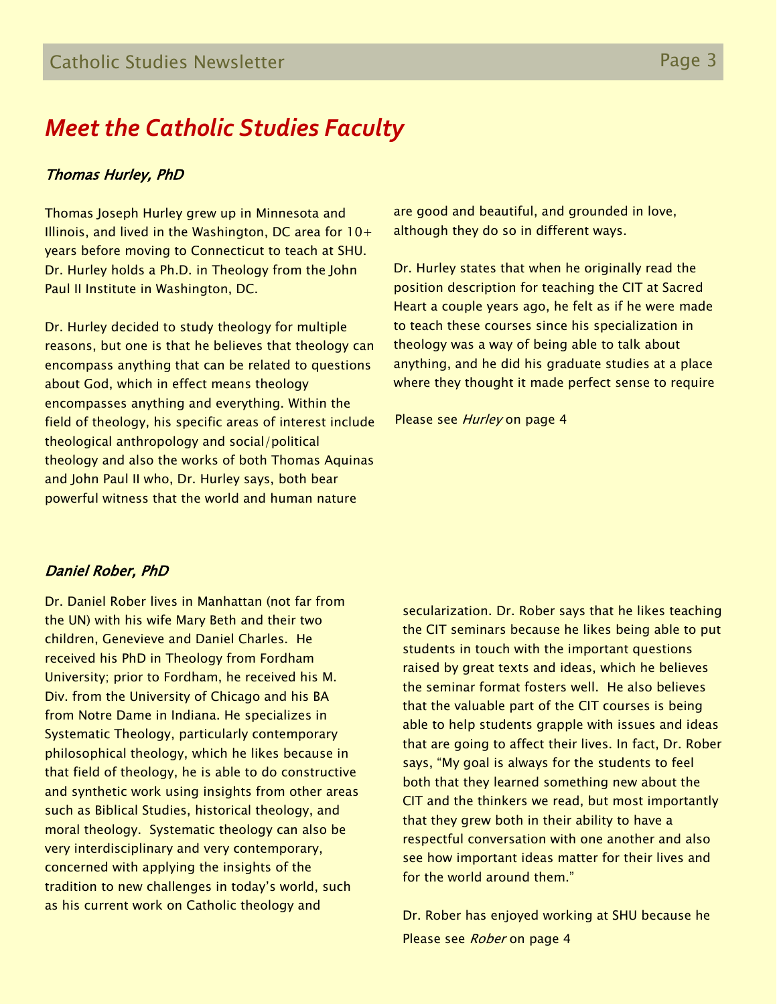## *Meet the Catholic Studies Faculty*

#### Thomas Hurley, PhD

Thomas Joseph Hurley grew up in Minnesota and Illinois, and lived in the Washington, DC area for  $10+$ years before moving to Connecticut to teach at SHU. Dr. Hurley holds a Ph.D. in Theology from the John Paul II Institute in Washington, DC.

Dr. Hurley decided to study theology for multiple reasons, but one is that he believes that theology can encompass anything that can be related to questions about God, which in effect means theology encompasses anything and everything. Within the field of theology, his specific areas of interest include theological anthropology and social/political theology and also the works of both Thomas Aquinas and John Paul II who, Dr. Hurley says, both bear powerful witness that the world and human nature

are good and beautiful, and grounded in love, although they do so in different ways.

Dr. Hurley states that when he originally read the position description for teaching the CIT at Sacred Heart a couple years ago, he felt as if he were made to teach these courses since his specialization in theology was a way of being able to talk about anything, and he did his graduate studies at a place where they thought it made perfect sense to require

Please see Hurley on page 4

### Daniel Rober, PhD

Dr. Daniel Rober lives in Manhattan (not far from the UN) with his wife Mary Beth and their two children, Genevieve and Daniel Charles. He received his PhD in Theology from Fordham University; prior to Fordham, he received his M. Div. from the University of Chicago and his BA from Notre Dame in Indiana. He specializes in Systematic Theology, particularly contemporary philosophical theology, which he likes because in that field of theology, he is able to do constructive and synthetic work using insights from other areas such as Biblical Studies, historical theology, and moral theology. Systematic theology can also be very interdisciplinary and very contemporary, concerned with applying the insights of the tradition to new challenges in today's world, such as his current work on Catholic theology and

secularization. Dr. Rober says that he likes teaching the CIT seminars because he likes being able to put students in touch with the important questions raised by great texts and ideas, which he believes the seminar format fosters well. He also believes that the valuable part of the CIT courses is being able to help students grapple with issues and ideas that are going to affect their lives. In fact, Dr. Rober says, "My goal is always for the students to feel both that they learned something new about the CIT and the thinkers we read, but most importantly that they grew both in their ability to have a respectful conversation with one another and also see how important ideas matter for their lives and for the world around them."

Dr. Rober has enjoyed working at SHU because he Please see Rober on page 4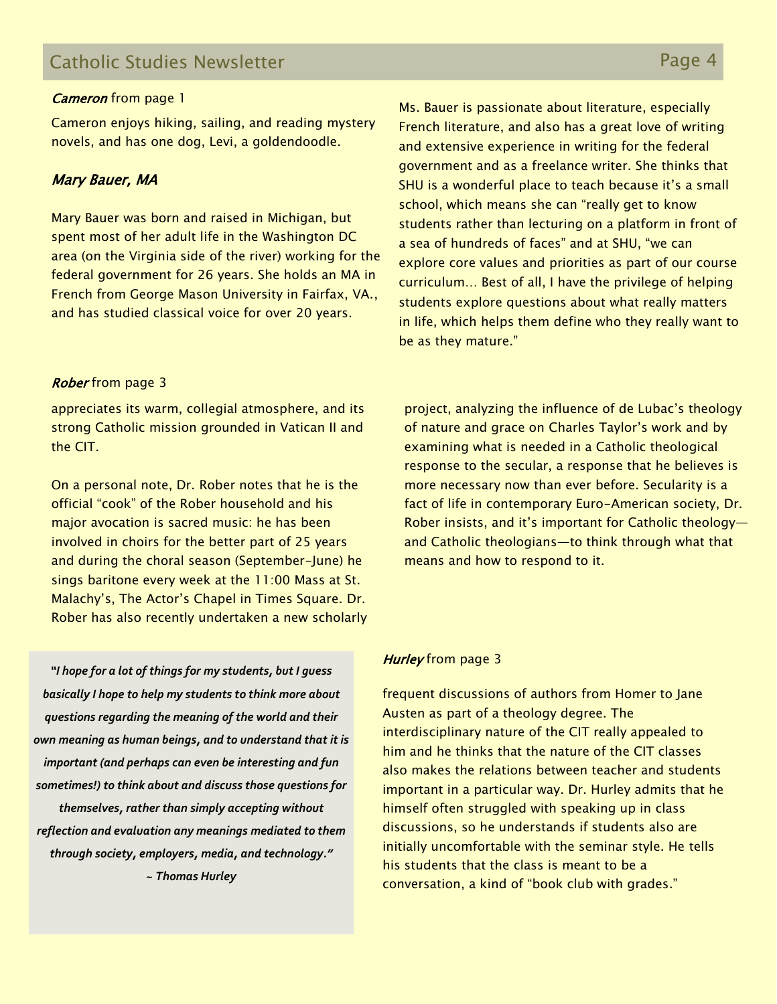### Catholic Studies Newsletter **Page 4** Catholic Studies Newsletter

#### **Cameron** from page 1

Cameron enjoys hiking, sailing, and reading mystery novels, and has one dog, Levi, a goldendoodle.

#### Mary Bauer, MA

Mary Bauer was born and raised in Michigan, but spent most of her adult life in the Washington DC area (on the Virginia side of the river) working for the federal government for 26 years. She holds an MA in French from George Mason University in Fairfax, VA., and has studied classical voice for over 20 years.

#### **Rober** from page 3

appreciates its warm, collegial atmosphere, and its strong Catholic mission grounded in Vatican II and the CIT.

On a personal note, Dr. Rober notes that he is the official "cook" of the Rober household and his major avocation is sacred music: he has been involved in choirs for the better part of 25 years and during the choral season (September-June) he sings baritone every week at the 11:00 Mass at St. Malachy's, The Actor's Chapel in Times Square. Dr. Rober has also recently undertaken a new scholarly

*"I hope for a lot of things for my students, but I guess basically I hope to help my students to think more about questions regarding the meaning of the world and their own meaning as human beings, and to understand that it is important (and perhaps can even be interesting and fun sometimes!) to think about and discuss those questions for themselves, rather than simply accepting without reflection and evaluation any meanings mediated to them through society, employers, media, and technology." ~ Thomas Hurley*

Ms. Bauer is passionate about literature, especially French literature, and also has a great love of writing and extensive experience in writing for the federal government and as a freelance writer. She thinks that SHU is a wonderful place to teach because it's a small school, which means she can "really get to know students rather than lecturing on a platform in front of a sea of hundreds of faces" and at SHU, "we can explore core values and priorities as part of our course curriculum… Best of all, I have the privilege of helping students explore questions about what really matters in life, which helps them define who they really want to be as they mature."

project, analyzing the influence of de Lubac's theology of nature and grace on Charles Taylor's work and by examining what is needed in a Catholic theological response to the secular, a response that he believes is more necessary now than ever before. Secularity is a fact of life in contemporary Euro-American society, Dr. Rober insists, and it's important for Catholic theology and Catholic theologians—to think through what that means and how to respond to it.

#### Hurley from page 3

frequent discussions of authors from Homer to Jane Austen as part of a theology degree. The interdisciplinary nature of the CIT really appealed to him and he thinks that the nature of the CIT classes also makes the relations between teacher and students important in a particular way. Dr. Hurley admits that he himself often struggled with speaking up in class discussions, so he understands if students also are initially uncomfortable with the seminar style. He tells his students that the class is meant to be a conversation, a kind of "book club with grades."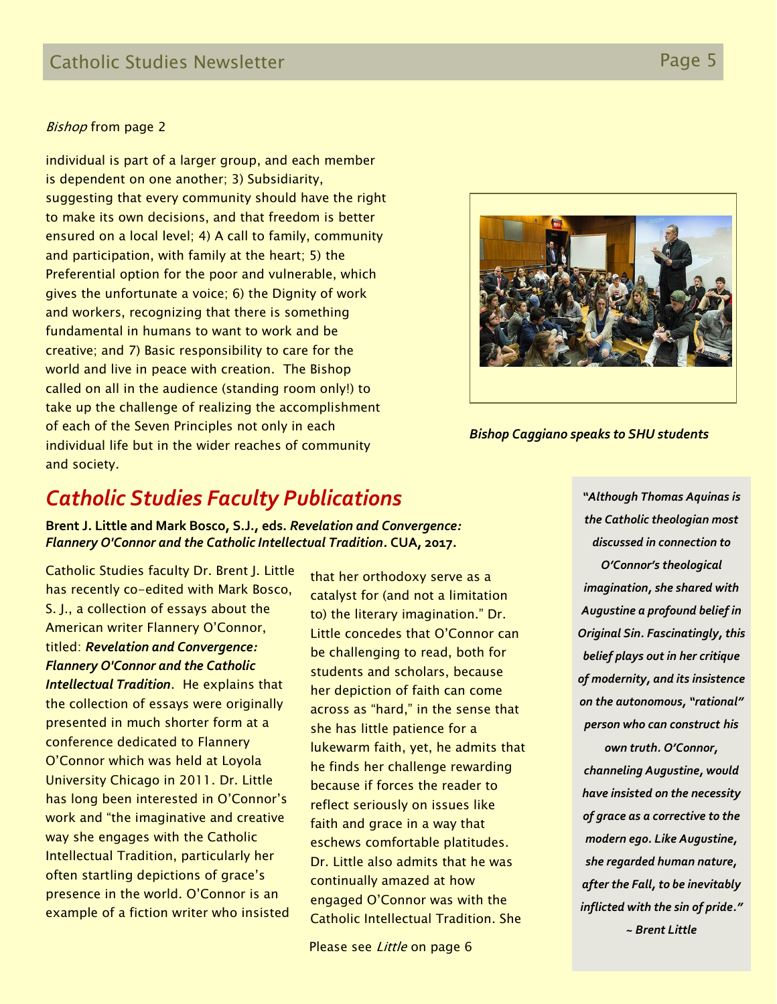#### **Bishop from page 2**

individual is part of a larger group, and each member is dependent on one another; 3) Subsidiarity, suggesting that every community should have the right to make its own decisions, and that freedom is better ensured on a local level; 4) A call to family, community and participation, with family at the heart; 5) the Preferential option for the poor and vulnerable, which gives the unfortunate a voice; 6) the Dignity of work and workers, recognizing that there is something fundamental in humans to want to work and be creative; and 7) Basic responsibility to care for the world and live in peace with creation. The Bishop called on all in the audience (standing room only!) to take up the challenge of realizing the accomplishment of each of the Seven Principles not only in each individual life but in the wider reaches of community and society.



*Bishop Caggiano speaks to SHU students*

### *Catholic Studies Faculty Publications*

**Brent J. Little and Mark Bosco, S.J., eds.** *Revelation and Convergence: Flannery O'Connor and the Catholic Intellectual Tradition.* **CUA, 2017.**

Catholic Studies faculty Dr. Brent J. Little has recently co-edited with Mark Bosco, S. J., a collection of essays about the American writer Flannery O'Connor, titled: *Revelation and Convergence: Flannery O'Connor and the Catholic Intellectual Tradition*. He explains that the collection of essays were originally presented in much shorter form at a conference dedicated to Flannery O'Connor which was held at Loyola University Chicago in 2011. Dr. Little has long been interested in O'Connor's work and "the imaginative and creative way she engages with the Catholic Intellectual Tradition, particularly her often startling depictions of grace's presence in the world. O'Connor is an example of a fiction writer who insisted

that her orthodoxy serve as a catalyst for (and not a limitation to) the literary imagination." Dr. Little concedes that O'Connor can be challenging to read, both for students and scholars, because her depiction of faith can come across as "hard," in the sense that she has little patience for a lukewarm faith, yet, he admits that he finds her challenge rewarding because if forces the reader to reflect seriously on issues like faith and grace in a way that eschews comfortable platitudes. Dr. Little also admits that he was continually amazed at how engaged O'Connor was with the Catholic Intellectual Tradition. She

Please see Little on page 6

*"Although Thomas Aquinas is the Catholic theologian most discussed in connection to O'Connor's theological imagination, she shared with Augustine a profound belief in Original Sin. Fascinatingly, this belief plays out in her critique of modernity, and its insistence on the autonomous, "rational" person who can construct his own truth. O'Connor,* 

*channeling Augustine, would have insisted on the necessity of grace as a corrective to the modern ego. Like Augustine, she regarded human nature, after the Fall, to be inevitably inflicted with the sin of pride." ~ Brent Little*